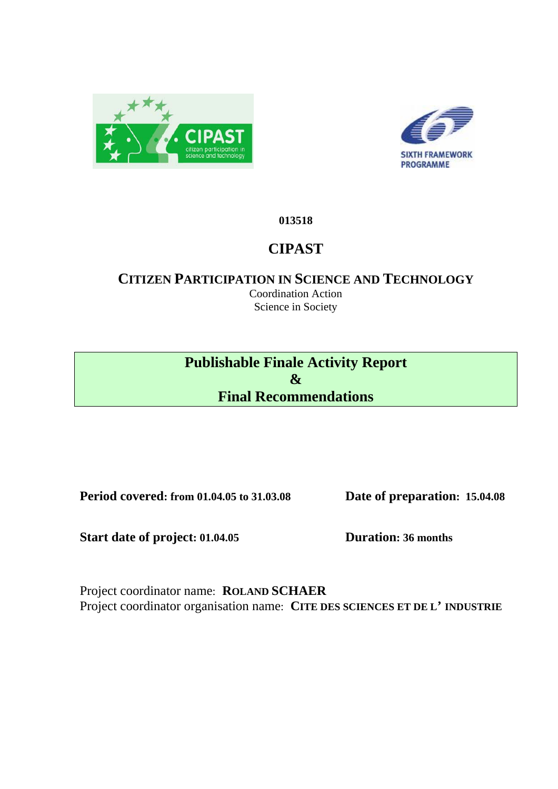



# **013518**

# **CIPAST**

# **CITIZEN PARTICIPATION IN SCIENCE AND TECHNOLOGY**

Coordination Action Science in Society

**Publishable Finale Activity Report & Final Recommendations** 

**Period covered: from 01.04.05 to 31.03.08 Date of preparation: 15.04.08** 

Start date of project: 01.04.05 **Duration: 36 months** 

Project coordinator name: **ROLAND SCHAER** Project coordinator organisation name: **CITE DES SCIENCES ET DE L' INDUSTRIE**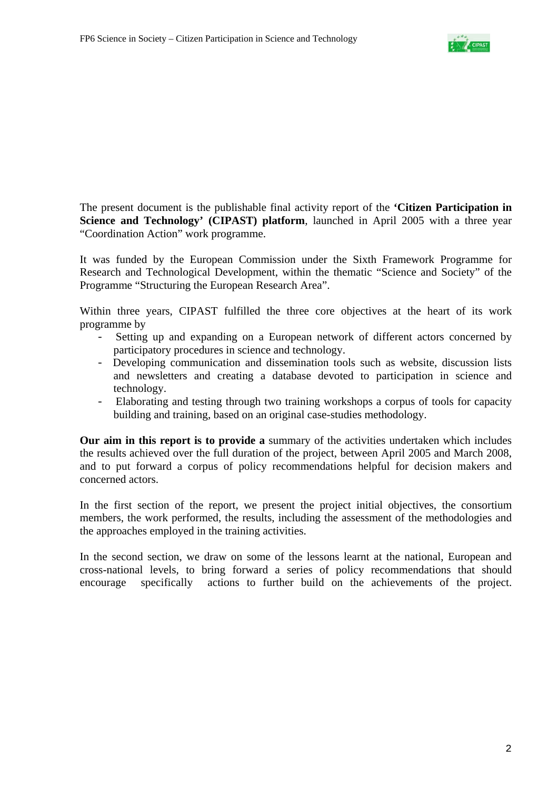

The present document is the publishable final activity report of the **'Citizen Participation in Science and Technology' (CIPAST) platform**, launched in April 2005 with a three year "Coordination Action" work programme.

It was funded by the European Commission under the Sixth Framework Programme for Research and Technological Development, within the thematic "Science and Society" of the Programme "Structuring the European Research Area".

Within three years, CIPAST fulfilled the three core objectives at the heart of its work programme by

- Setting up and expanding on a European network of different actors concerned by participatory procedures in science and technology.
- Developing communication and dissemination tools such as website, discussion lists and newsletters and creating a database devoted to participation in science and technology.
- Elaborating and testing through two training workshops a corpus of tools for capacity building and training, based on an original case-studies methodology.

**Our aim in this report is to provide a** summary of the activities undertaken which includes the results achieved over the full duration of the project, between April 2005 and March 2008, and to put forward a corpus of policy recommendations helpful for decision makers and concerned actors.

In the first section of the report, we present the project initial objectives, the consortium members, the work performed, the results, including the assessment of the methodologies and the approaches employed in the training activities.

In the second section, we draw on some of the lessons learnt at the national, European and cross-national levels, to bring forward a series of policy recommendations that should encourage specifically actions to further build on the achievements of the project.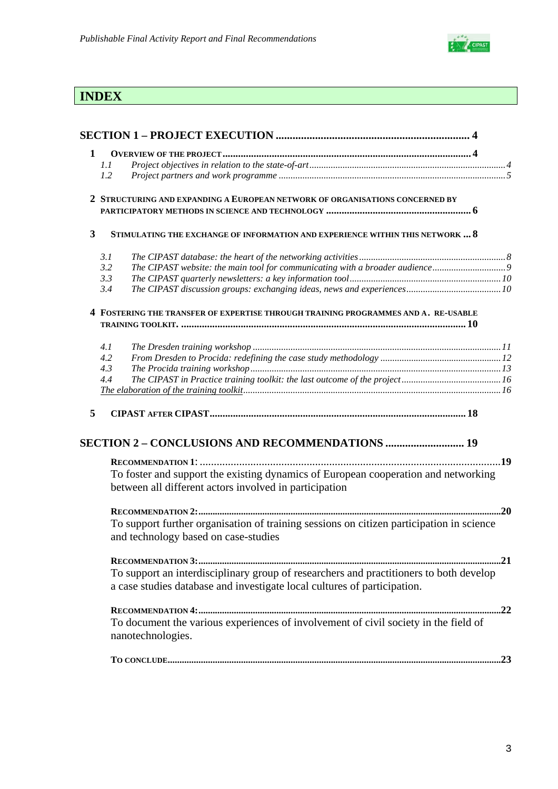

# **INDEX**

| 1            |                                                                                                                                              |     |
|--------------|----------------------------------------------------------------------------------------------------------------------------------------------|-----|
|              | 1.1                                                                                                                                          |     |
|              | 1.2                                                                                                                                          |     |
|              | 2 STRUCTURING AND EXPANDING A EUROPEAN NETWORK OF ORGANISATIONS CONCERNED BY                                                                 |     |
|              |                                                                                                                                              |     |
| $\mathbf{3}$ | STIMULATING THE EXCHANGE OF INFORMATION AND EXPERIENCE WITHIN THIS NETWORK  8                                                                |     |
|              | 3.1                                                                                                                                          |     |
|              | The CIPAST website: the main tool for communicating with a broader audience9<br>3.2                                                          |     |
|              | 3.3                                                                                                                                          |     |
|              | 3.4                                                                                                                                          |     |
|              | 4 FOSTERING THE TRANSFER OF EXPERTISE THROUGH TRAINING PROGRAMMES AND A. RE-USABLE                                                           |     |
|              |                                                                                                                                              |     |
|              |                                                                                                                                              |     |
|              | 4.1<br>4.2                                                                                                                                   |     |
|              | 4.3                                                                                                                                          |     |
|              | 4.4                                                                                                                                          |     |
|              |                                                                                                                                              |     |
| 5            |                                                                                                                                              |     |
|              |                                                                                                                                              |     |
|              | <b>SECTION 2 - CONCLUSIONS AND RECOMMENDATIONS  19</b>                                                                                       |     |
|              |                                                                                                                                              | .19 |
|              | To foster and support the existing dynamics of European cooperation and networking<br>between all different actors involved in participation |     |
|              |                                                                                                                                              | .20 |
|              | To support further organisation of training sessions on citizen participation in science<br>and technology based on case-studies             |     |
|              |                                                                                                                                              |     |
|              | To support an interdisciplinary group of researchers and practitioners to both develop                                                       |     |
|              | a case studies database and investigate local cultures of participation.                                                                     |     |
|              |                                                                                                                                              |     |
|              | To document the various experiences of involvement of civil society in the field of                                                          |     |
|              | nanotechnologies.                                                                                                                            |     |
|              |                                                                                                                                              |     |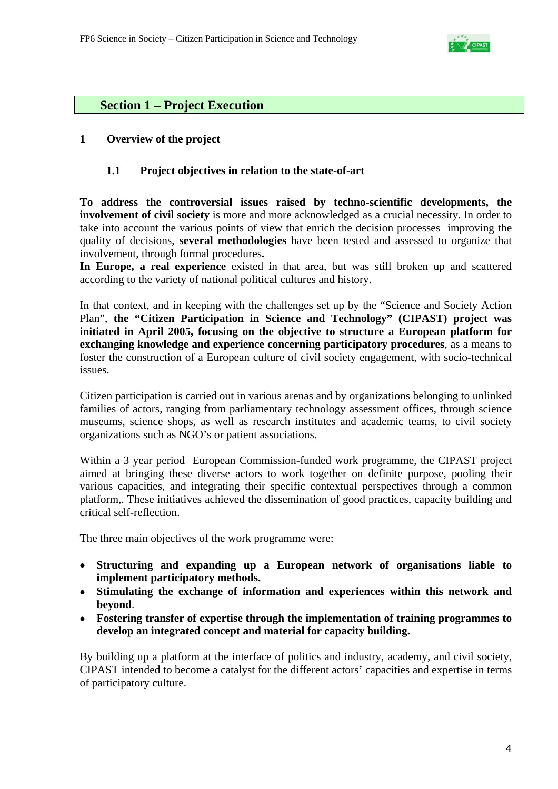

# **Section 1 – Project Execution**

# **1 Overview of the project**

### **1.1 Project objectives in relation to the state-of-art**

**To address the controversial issues raised by techno-scientific developments, the involvement of civil society** is more and more acknowledged as a crucial necessity. In order to take into account the various points of view that enrich the decision processes improving the quality of decisions, **several methodologies** have been tested and assessed to organize that involvement, through formal procedures**.** 

**In Europe, a real experience** existed in that area, but was still broken up and scattered according to the variety of national political cultures and history.

In that context, and in keeping with the challenges set up by the "Science and Society Action Plan", **the "Citizen Participation in Science and Technology" (CIPAST) project was initiated in April 2005, focusing on the objective to structure a European platform for exchanging knowledge and experience concerning participatory procedures**, as a means to foster the construction of a European culture of civil society engagement, with socio-technical issues.

Citizen participation is carried out in various arenas and by organizations belonging to unlinked families of actors, ranging from parliamentary technology assessment offices, through science museums, science shops, as well as research institutes and academic teams, to civil society organizations such as NGO's or patient associations.

Within a 3 year period European Commission-funded work programme, the CIPAST project aimed at bringing these diverse actors to work together on definite purpose, pooling their various capacities, and integrating their specific contextual perspectives through a common platform,. These initiatives achieved the dissemination of good practices, capacity building and critical self-reflection.

The three main objectives of the work programme were:

- **Structuring and expanding up a European network of organisations liable to implement participatory methods.**
- **Stimulating the exchange of information and experiences within this network and beyond**.
- **Fostering transfer of expertise through the implementation of training programmes to develop an integrated concept and material for capacity building.**

By building up a platform at the interface of politics and industry, academy, and civil society, CIPAST intended to become a catalyst for the different actors' capacities and expertise in terms of participatory culture.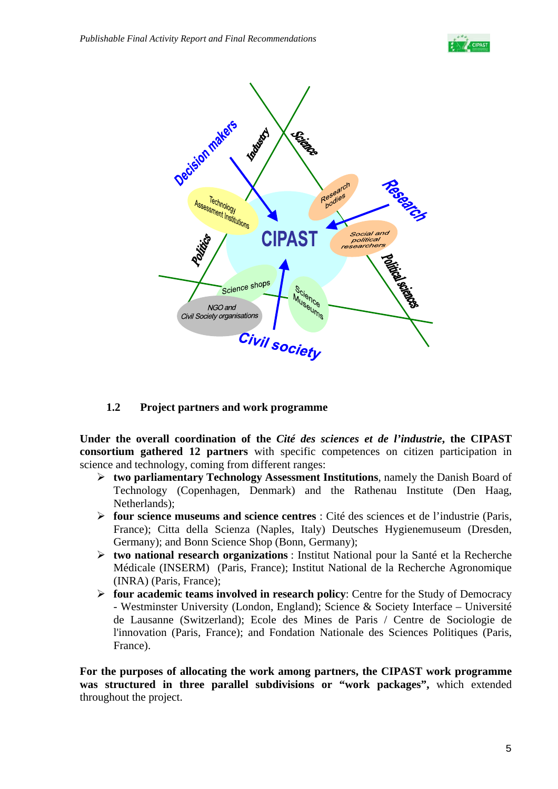



# **1.2 Project partners and work programme**

**Under the overall coordination of the** *Cité des sciences et de l'industrie***, the CIPAST consortium gathered 12 partners** with specific competences on citizen participation in science and technology, coming from different ranges:

- ¾ **two parliamentary Technology Assessment Institutions**, namely the Danish Board of Technology (Copenhagen, Denmark) and the Rathenau Institute (Den Haag, Netherlands);
- ¾ **four science museums and science centres** : Cité des sciences et de l'industrie (Paris, France); Citta della Scienza (Naples, Italy) Deutsches Hygienemuseum (Dresden, Germany); and Bonn Science Shop (Bonn, Germany);
- ¾ **two national research organizations** : Institut National pour la Santé et la Recherche Médicale (INSERM) (Paris, France); Institut National de la Recherche Agronomique (INRA) (Paris, France);
- ¾ **four academic teams involved in research policy**: Centre for the Study of Democracy - Westminster University (London, England); Science & Society Interface – Université de Lausanne (Switzerland); Ecole des Mines de Paris / Centre de Sociologie de l'innovation (Paris, France); and Fondation Nationale des Sciences Politiques (Paris, France).

**For the purposes of allocating the work among partners, the CIPAST work programme was structured in three parallel subdivisions or "work packages",** which extended throughout the project.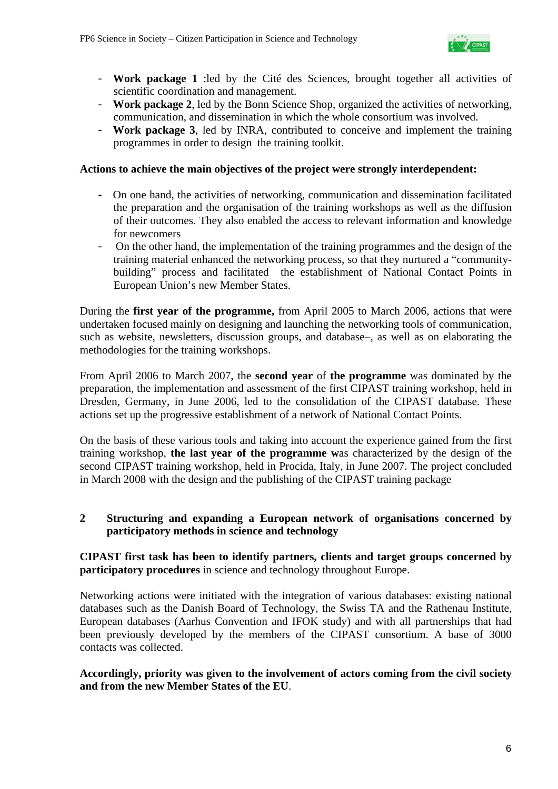

- **Work package 1** :led by the Cité des Sciences, brought together all activities of scientific coordination and management.
- **Work package 2**, led by the Bonn Science Shop, organized the activities of networking, communication, and dissemination in which the whole consortium was involved.
- **Work package 3**, led by INRA, contributed to conceive and implement the training programmes in order to design the training toolkit.

#### **Actions to achieve the main objectives of the project were strongly interdependent:**

- On one hand, the activities of networking, communication and dissemination facilitated the preparation and the organisation of the training workshops as well as the diffusion of their outcomes. They also enabled the access to relevant information and knowledge for newcomers
- On the other hand, the implementation of the training programmes and the design of the training material enhanced the networking process, so that they nurtured a "communitybuilding" process and facilitated the establishment of National Contact Points in European Union's new Member States.

During the **first year of the programme,** from April 2005 to March 2006, actions that were undertaken focused mainly on designing and launching the networking tools of communication, such as website, newsletters, discussion groups, and database–, as well as on elaborating the methodologies for the training workshops.

From April 2006 to March 2007, the **second year** of **the programme** was dominated by the preparation, the implementation and assessment of the first CIPAST training workshop, held in Dresden, Germany, in June 2006, led to the consolidation of the CIPAST database. These actions set up the progressive establishment of a network of National Contact Points.

On the basis of these various tools and taking into account the experience gained from the first training workshop, **the last year of the programme w**as characterized by the design of the second CIPAST training workshop, held in Procida, Italy, in June 2007. The project concluded in March 2008 with the design and the publishing of the CIPAST training package

### **2 Structuring and expanding a European network of organisations concerned by participatory methods in science and technology**

**CIPAST first task has been to identify partners, clients and target groups concerned by participatory procedures** in science and technology throughout Europe.

Networking actions were initiated with the integration of various databases: existing national databases such as the Danish Board of Technology, the Swiss TA and the Rathenau Institute, European databases (Aarhus Convention and IFOK study) and with all partnerships that had been previously developed by the members of the CIPAST consortium. A base of 3000 contacts was collected.

### **Accordingly, priority was given to the involvement of actors coming from the civil society and from the new Member States of the EU**.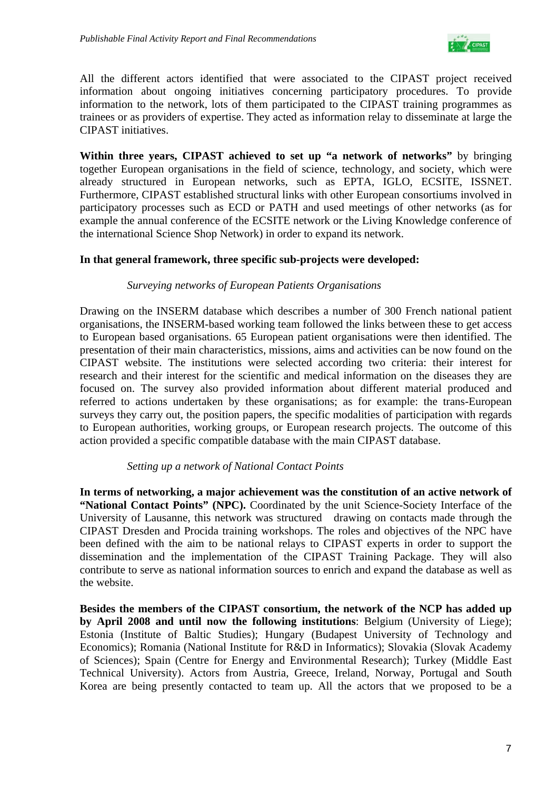

All the different actors identified that were associated to the CIPAST project received information about ongoing initiatives concerning participatory procedures. To provide information to the network, lots of them participated to the CIPAST training programmes as trainees or as providers of expertise. They acted as information relay to disseminate at large the CIPAST initiatives.

**Within three years, CIPAST achieved to set up "a network of networks"** by bringing together European organisations in the field of science, technology, and society, which were already structured in European networks, such as EPTA, IGLO, ECSITE, ISSNET. Furthermore, CIPAST established structural links with other European consortiums involved in participatory processes such as ECD or PATH and used meetings of other networks (as for example the annual conference of the ECSITE network or the Living Knowledge conference of the international Science Shop Network) in order to expand its network.

### **In that general framework, three specific sub-projects were developed:**

#### *Surveying networks of European Patients Organisations*

Drawing on the INSERM database which describes a number of 300 French national patient organisations, the INSERM-based working team followed the links between these to get access to European based organisations. 65 European patient organisations were then identified. The presentation of their main characteristics, missions, aims and activities can be now found on the CIPAST website. The institutions were selected according two criteria: their interest for research and their interest for the scientific and medical information on the diseases they are focused on. The survey also provided information about different material produced and referred to actions undertaken by these organisations; as for example: the trans-European surveys they carry out, the position papers, the specific modalities of participation with regards to European authorities, working groups, or European research projects. The outcome of this action provided a specific compatible database with the main CIPAST database.

#### *Setting up a network of National Contact Points*

**In terms of networking, a major achievement was the constitution of an active network of "National Contact Points" (NPC).** Coordinated by the unit Science-Society Interface of the University of Lausanne, this network was structured drawing on contacts made through the CIPAST Dresden and Procida training workshops. The roles and objectives of the NPC have been defined with the aim to be national relays to CIPAST experts in order to support the dissemination and the implementation of the CIPAST Training Package. They will also contribute to serve as national information sources to enrich and expand the database as well as the website.

**Besides the members of the CIPAST consortium, the network of the NCP has added up by April 2008 and until now the following institutions**: Belgium (University of Liege); Estonia (Institute of Baltic Studies); Hungary (Budapest University of Technology and Economics); Romania (National Institute for R&D in Informatics); Slovakia (Slovak Academy of Sciences); Spain (Centre for Energy and Environmental Research); Turkey (Middle East Technical University). Actors from Austria, Greece, Ireland, Norway, Portugal and South Korea are being presently contacted to team up. All the actors that we proposed to be a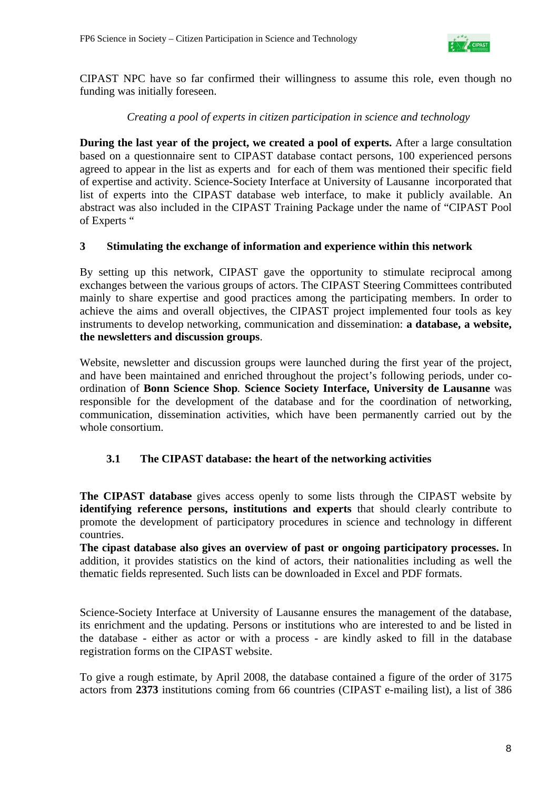

CIPAST NPC have so far confirmed their willingness to assume this role, even though no funding was initially foreseen.

### *Creating a pool of experts in citizen participation in science and technology*

**During the last year of the project, we created a pool of experts.** After a large consultation based on a questionnaire sent to CIPAST database contact persons, 100 experienced persons agreed to appear in the list as experts and for each of them was mentioned their specific field of expertise and activity. Science-Society Interface at University of Lausanne incorporated that list of experts into the CIPAST database web interface, to make it publicly available. An abstract was also included in the CIPAST Training Package under the name of "CIPAST Pool of Experts "

### **3 Stimulating the exchange of information and experience within this network**

By setting up this network, CIPAST gave the opportunity to stimulate reciprocal among exchanges between the various groups of actors. The CIPAST Steering Committees contributed mainly to share expertise and good practices among the participating members. In order to achieve the aims and overall objectives, the CIPAST project implemented four tools as key instruments to develop networking, communication and dissemination: **a database, a website, the newsletters and discussion groups**.

Website, newsletter and discussion groups were launched during the first year of the project, and have been maintained and enriched throughout the project's following periods, under coordination of **Bonn Science Shop***.* **Science Society Interface, University de Lausanne** was responsible for the development of the database and for the coordination of networking, communication, dissemination activities, which have been permanently carried out by the whole consortium.

# **3.1 The CIPAST database: the heart of the networking activities**

**The CIPAST database** gives access openly to some lists through the CIPAST website by **identifying reference persons, institutions and experts** that should clearly contribute to promote the development of participatory procedures in science and technology in different countries.

**The cipast database also gives an overview of past or ongoing participatory processes.** In addition, it provides statistics on the kind of actors, their nationalities including as well the thematic fields represented. Such lists can be downloaded in Excel and PDF formats.

Science-Society Interface at University of Lausanne ensures the management of the database, its enrichment and the updating. Persons or institutions who are interested to and be listed in the database - either as actor or with a process - are kindly asked to fill in the database registration forms on the CIPAST website.

To give a rough estimate, by April 2008, the database contained a figure of the order of 3175 actors from **2373** institutions coming from 66 countries (CIPAST e-mailing list), a list of 386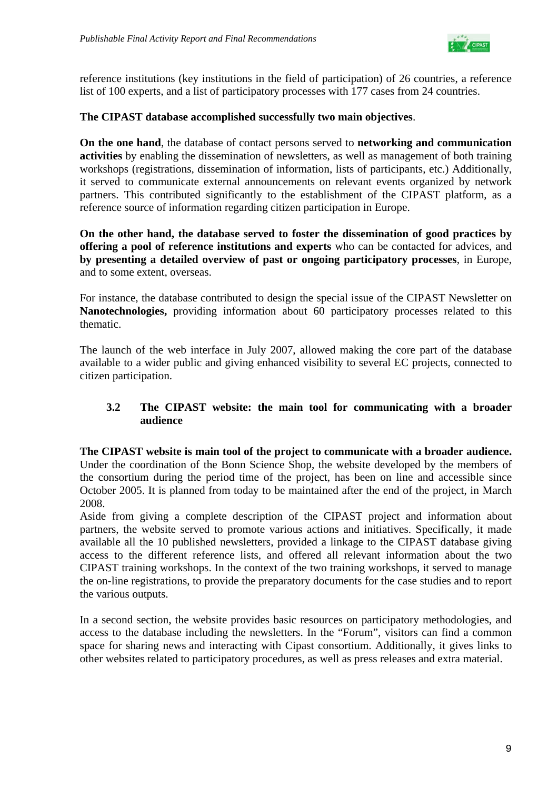

reference institutions (key institutions in the field of participation) of 26 countries, a reference list of 100 experts, and a list of participatory processes with 177 cases from 24 countries.

## **The CIPAST database accomplished successfully two main objectives**.

**On the one hand**, the database of contact persons served to **networking and communication activities** by enabling the dissemination of newsletters, as well as management of both training workshops (registrations, dissemination of information, lists of participants, etc.) Additionally, it served to communicate external announcements on relevant events organized by network partners. This contributed significantly to the establishment of the CIPAST platform, as a reference source of information regarding citizen participation in Europe.

**On the other hand, the database served to foster the dissemination of good practices by offering a pool of reference institutions and experts** who can be contacted for advices, and **by presenting a detailed overview of past or ongoing participatory processes**, in Europe, and to some extent, overseas.

For instance, the database contributed to design the special issue of the CIPAST Newsletter on **Nanotechnologies,** providing information about 60 participatory processes related to this thematic.

The launch of the web interface in July 2007, allowed making the core part of the database available to a wider public and giving enhanced visibility to several EC projects, connected to citizen participation.

### **3.2 The CIPAST website: the main tool for communicating with a broader audience**

### **The CIPAST website is main tool of the project to communicate with a broader audience.**

Under the coordination of the Bonn Science Shop, the website developed by the members of the consortium during the period time of the project, has been on line and accessible since October 2005. It is planned from today to be maintained after the end of the project, in March 2008.

Aside from giving a complete description of the CIPAST project and information about partners, the website served to promote various actions and initiatives. Specifically, it made available all the 10 published newsletters, provided a linkage to the CIPAST database giving access to the different reference lists, and offered all relevant information about the two CIPAST training workshops. In the context of the two training workshops, it served to manage the on-line registrations, to provide the preparatory documents for the case studies and to report the various outputs.

In a second section, the website provides basic resources on participatory methodologies, and access to the database including the newsletters. In the "Forum", visitors can find a common space for sharing news and interacting with Cipast consortium. Additionally, it gives links to other websites related to participatory procedures, as well as press releases and extra material.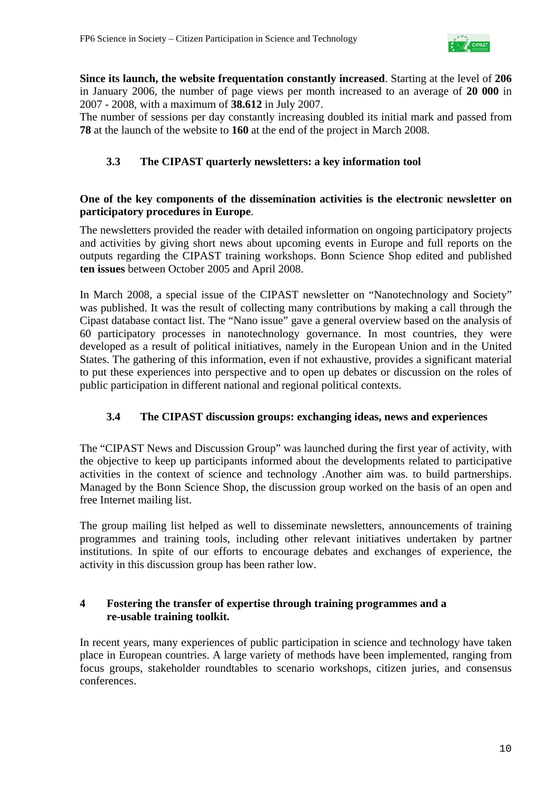

**Since its launch, the website frequentation constantly increased**. Starting at the level of **206** in January 2006, the number of page views per month increased to an average of **20 000** in 2007 - 2008, with a maximum of **38.612** in July 2007.

The number of sessions per day constantly increasing doubled its initial mark and passed from **78** at the launch of the website to **160** at the end of the project in March 2008.

# **3.3 The CIPAST quarterly newsletters: a key information tool**

### **One of the key components of the dissemination activities is the electronic newsletter on participatory procedures in Europe**.

The newsletters provided the reader with detailed information on ongoing participatory projects and activities by giving short news about upcoming events in Europe and full reports on the outputs regarding the CIPAST training workshops. Bonn Science Shop edited and published **ten issues** between October 2005 and April 2008.

In March 2008, a special issue of the CIPAST newsletter on "Nanotechnology and Society" was published. It was the result of collecting many contributions by making a call through the Cipast database contact list. The "Nano issue" gave a general overview based on the analysis of 60 participatory processes in nanotechnology governance. In most countries, they were developed as a result of political initiatives, namely in the European Union and in the United States. The gathering of this information, even if not exhaustive, provides a significant material to put these experiences into perspective and to open up debates or discussion on the roles of public participation in different national and regional political contexts.

# **3.4 The CIPAST discussion groups: exchanging ideas, news and experiences**

The "CIPAST News and Discussion Group" was launched during the first year of activity, with the objective to keep up participants informed about the developments related to participative activities in the context of science and technology .Another aim was. to build partnerships. Managed by the Bonn Science Shop, the discussion group worked on the basis of an open and free Internet mailing list.

The group mailing list helped as well to disseminate newsletters, announcements of training programmes and training tools, including other relevant initiatives undertaken by partner institutions. In spite of our efforts to encourage debates and exchanges of experience, the activity in this discussion group has been rather low.

# **4 Fostering the transfer of expertise through training programmes and a re-usable training toolkit.**

In recent years, many experiences of public participation in science and technology have taken place in European countries. A large variety of methods have been implemented, ranging from focus groups, stakeholder roundtables to scenario workshops, citizen juries, and consensus conferences.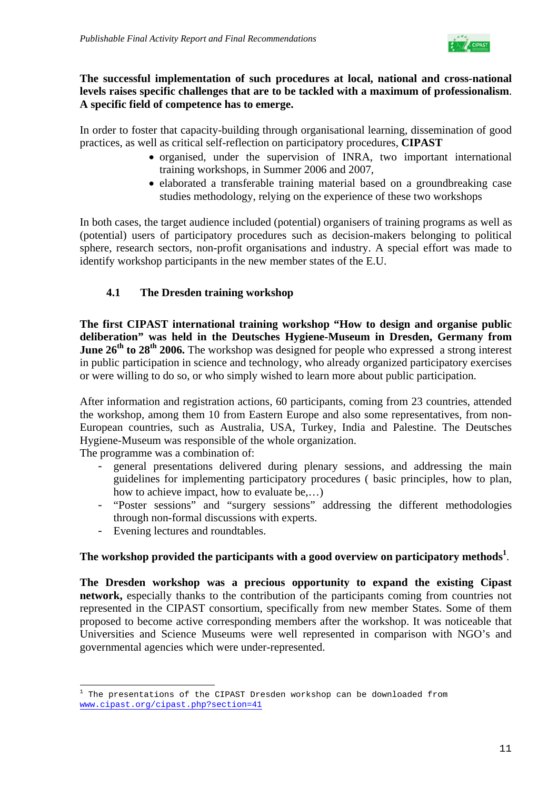

## **The successful implementation of such procedures at local, national and cross-national levels raises specific challenges that are to be tackled with a maximum of professionalism**. **A specific field of competence has to emerge.**

In order to foster that capacity-building through organisational learning, dissemination of good practices, as well as critical self-reflection on participatory procedures, **CIPAST** 

- organised, under the supervision of INRA, two important international training workshops, in Summer 2006 and 2007,
- elaborated a transferable training material based on a groundbreaking case studies methodology, relying on the experience of these two workshops

In both cases, the target audience included (potential) organisers of training programs as well as (potential) users of participatory procedures such as decision-makers belonging to political sphere, research sectors, non-profit organisations and industry. A special effort was made to identify workshop participants in the new member states of the E.U.

# **4.1 The Dresden training workshop**

**The first CIPAST international training workshop "How to design and organise public deliberation" was held in the Deutsches Hygiene-Museum in Dresden, Germany from June 26<sup>th</sup> to 28<sup>th</sup> 2006.** The workshop was designed for people who expressed a strong interest in public participation in science and technology, who already organized participatory exercises or were willing to do so, or who simply wished to learn more about public participation.

After information and registration actions, 60 participants, coming from 23 countries, attended the workshop, among them 10 from Eastern Europe and also some representatives, from non-European countries, such as Australia, USA, Turkey, India and Palestine. The Deutsches Hygiene-Museum was responsible of the whole organization.

The programme was a combination of:

- general presentations delivered during plenary sessions, and addressing the main guidelines for implementing participatory procedures ( basic principles, how to plan, how to achieve impact, how to evaluate be,…)
- "Poster sessions" and "surgery sessions" addressing the different methodologies through non-formal discussions with experts.
- Evening lectures and roundtables.

# The workshop provided the participants with a good overview on participatory methods<sup>1</sup>.

**The Dresden workshop was a precious opportunity to expand the existing Cipast network,** especially thanks to the contribution of the participants coming from countries not represented in the CIPAST consortium, specifically from new member States. Some of them proposed to become active corresponding members after the workshop. It was noticeable that Universities and Science Museums were well represented in comparison with NGO's and governmental agencies which were under-represented.

i 1 The presentations of the CIPAST Dresden workshop can be downloaded from www.cipast.org/cipast.php?section=41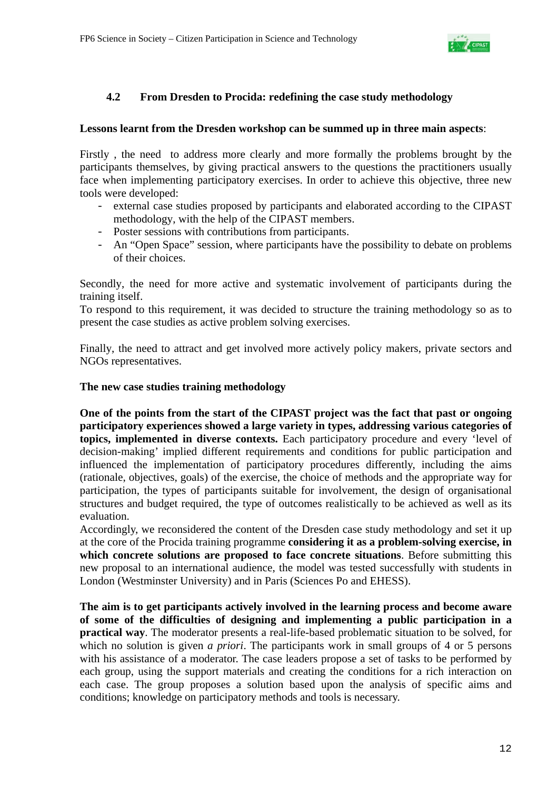

# **4.2 From Dresden to Procida: redefining the case study methodology**

### **Lessons learnt from the Dresden workshop can be summed up in three main aspects**:

Firstly , the need to address more clearly and more formally the problems brought by the participants themselves, by giving practical answers to the questions the practitioners usually face when implementing participatory exercises. In order to achieve this objective, three new tools were developed:

- external case studies proposed by participants and elaborated according to the CIPAST methodology, with the help of the CIPAST members.
- Poster sessions with contributions from participants.
- An "Open Space" session, where participants have the possibility to debate on problems of their choices.

Secondly, the need for more active and systematic involvement of participants during the training itself.

To respond to this requirement, it was decided to structure the training methodology so as to present the case studies as active problem solving exercises.

Finally, the need to attract and get involved more actively policy makers, private sectors and NGOs representatives.

### **The new case studies training methodology**

**One of the points from the start of the CIPAST project was the fact that past or ongoing participatory experiences showed a large variety in types, addressing various categories of topics, implemented in diverse contexts.** Each participatory procedure and every 'level of decision-making' implied different requirements and conditions for public participation and influenced the implementation of participatory procedures differently, including the aims (rationale, objectives, goals) of the exercise, the choice of methods and the appropriate way for participation, the types of participants suitable for involvement, the design of organisational structures and budget required, the type of outcomes realistically to be achieved as well as its evaluation.

Accordingly, we reconsidered the content of the Dresden case study methodology and set it up at the core of the Procida training programme **considering it as a problem-solving exercise, in which concrete solutions are proposed to face concrete situations**. Before submitting this new proposal to an international audience, the model was tested successfully with students in London (Westminster University) and in Paris (Sciences Po and EHESS).

**The aim is to get participants actively involved in the learning process and become aware of some of the difficulties of designing and implementing a public participation in a practical way**. The moderator presents a real-life-based problematic situation to be solved, for which no solution is given *a priori*. The participants work in small groups of 4 or 5 persons with his assistance of a moderator. The case leaders propose a set of tasks to be performed by each group, using the support materials and creating the conditions for a rich interaction on each case. The group proposes a solution based upon the analysis of specific aims and conditions; knowledge on participatory methods and tools is necessary.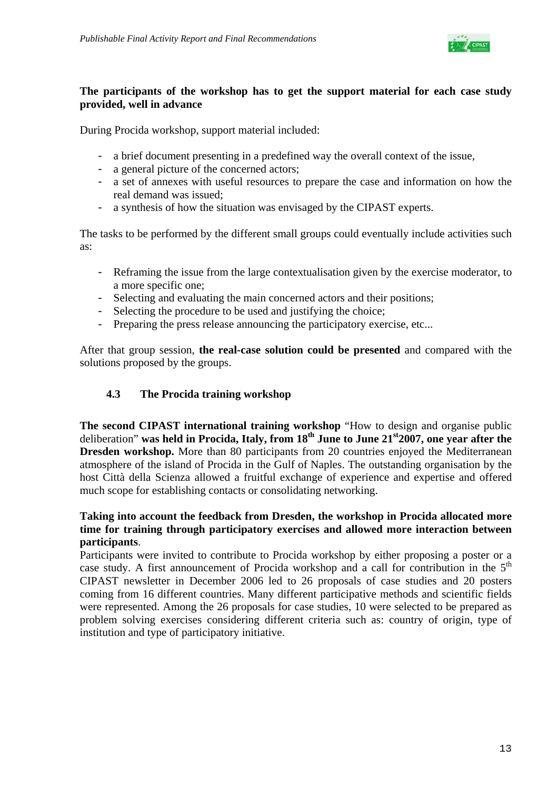

## **The participants of the workshop has to get the support material for each case study provided, well in advance**

During Procida workshop, support material included:

- a brief document presenting in a predefined way the overall context of the issue,
- a general picture of the concerned actors;
- a set of annexes with useful resources to prepare the case and information on how the real demand was issued;
- a synthesis of how the situation was envisaged by the CIPAST experts.

The tasks to be performed by the different small groups could eventually include activities such as:

- Reframing the issue from the large contextualisation given by the exercise moderator, to a more specific one;
- Selecting and evaluating the main concerned actors and their positions;
- Selecting the procedure to be used and justifying the choice;
- Preparing the press release announcing the participatory exercise, etc...

After that group session, **the real-case solution could be presented** and compared with the solutions proposed by the groups.

# **4.3 The Procida training workshop**

**The second CIPAST international training workshop** "How to design and organise public deliberation" **was held in Procida, Italy, from 18th June to June 21st2007, one year after the Dresden workshop.** More than 80 participants from 20 countries enjoyed the Mediterranean atmosphere of the island of Procida in the Gulf of Naples. The outstanding organisation by the host Città della Scienza allowed a fruitful exchange of experience and expertise and offered much scope for establishing contacts or consolidating networking.

# **Taking into account the feedback from Dresden, the workshop in Procida allocated more time for training through participatory exercises and allowed more interaction between participants**.

Participants were invited to contribute to Procida workshop by either proposing a poster or a case study. A first announcement of Procida workshop and a call for contribution in the  $5<sup>th</sup>$ CIPAST newsletter in December 2006 led to 26 proposals of case studies and 20 posters coming from 16 different countries. Many different participative methods and scientific fields were represented. Among the 26 proposals for case studies, 10 were selected to be prepared as problem solving exercises considering different criteria such as: country of origin, type of institution and type of participatory initiative.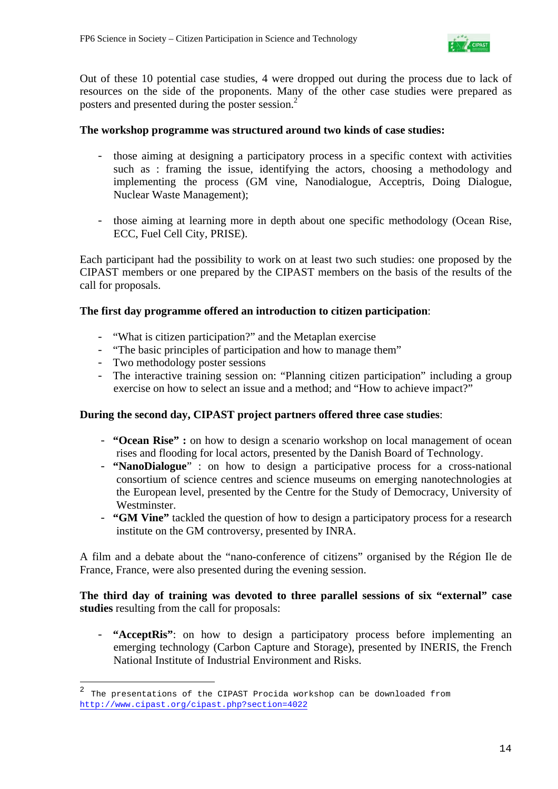

Out of these 10 potential case studies, 4 were dropped out during the process due to lack of resources on the side of the proponents. Many of the other case studies were prepared as posters and presented during the poster session.<sup>2</sup>

### **The workshop programme was structured around two kinds of case studies:**

- those aiming at designing a participatory process in a specific context with activities such as : framing the issue, identifying the actors, choosing a methodology and implementing the process (GM vine, Nanodialogue, Acceptris, Doing Dialogue, Nuclear Waste Management);
- those aiming at learning more in depth about one specific methodology (Ocean Rise, ECC, Fuel Cell City, PRISE).

Each participant had the possibility to work on at least two such studies: one proposed by the CIPAST members or one prepared by the CIPAST members on the basis of the results of the call for proposals.

### **The first day programme offered an introduction to citizen participation**:

- "What is citizen participation?" and the Metaplan exercise
- "The basic principles of participation and how to manage them"
- Two methodology poster sessions

i

- The interactive training session on: "Planning citizen participation" including a group exercise on how to select an issue and a method; and "How to achieve impact?"

# **During the second day, CIPAST project partners offered three case studies**:

- **"Ocean Rise" :** on how to design a scenario workshop on local management of ocean rises and flooding for local actors, presented by the Danish Board of Technology.
- **"NanoDialogue**" : on how to design a participative process for a cross-national consortium of science centres and science museums on emerging nanotechnologies at the European level, presented by the Centre for the Study of Democracy, University of Westminster.
- **"GM Vine"** tackled the question of how to design a participatory process for a research institute on the GM controversy, presented by INRA.

A film and a debate about the "nano-conference of citizens" organised by the Région Ile de France, France, were also presented during the evening session.

**The third day of training was devoted to three parallel sessions of six "external" case studies** resulting from the call for proposals:

- **"AcceptRis"**: on how to design a participatory process before implementing an emerging technology (Carbon Capture and Storage), presented by INERIS, the French National Institute of Industrial Environment and Risks.

<sup>&</sup>lt;sup>2</sup> The presentations of the CIPAST Procida workshop can be downloaded from http://www.cipast.org/cipast.php?section=4022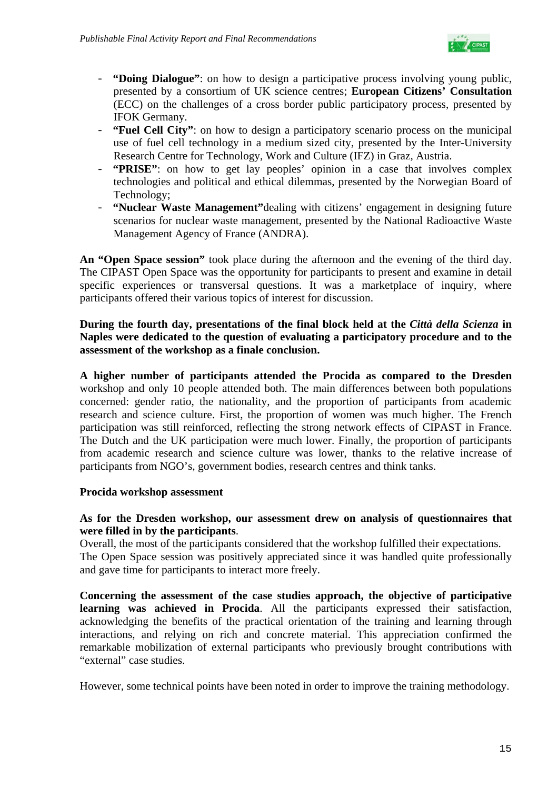

- **"Doing Dialogue"**: on how to design a participative process involving young public, presented by a consortium of UK science centres; **European Citizens' Consultation** (ECC) on the challenges of a cross border public participatory process, presented by IFOK Germany.
- **"Fuel Cell City"**: on how to design a participatory scenario process on the municipal use of fuel cell technology in a medium sized city, presented by the Inter-University Research Centre for Technology, Work and Culture (IFZ) in Graz, Austria.
- **"PRISE"**: on how to get lay peoples' opinion in a case that involves complex technologies and political and ethical dilemmas, presented by the Norwegian Board of Technology;
- **"Nuclear Waste Management"**dealing with citizens' engagement in designing future scenarios for nuclear waste management, presented by the National Radioactive Waste Management Agency of France (ANDRA).

**An "Open Space session"** took place during the afternoon and the evening of the third day. The CIPAST Open Space was the opportunity for participants to present and examine in detail specific experiences or transversal questions. It was a marketplace of inquiry, where participants offered their various topics of interest for discussion.

### **During the fourth day, presentations of the final block held at the** *Città della Scienza* **in Naples were dedicated to the question of evaluating a participatory procedure and to the assessment of the workshop as a finale conclusion.**

**A higher number of participants attended the Procida as compared to the Dresden** workshop and only 10 people attended both. The main differences between both populations concerned: gender ratio, the nationality, and the proportion of participants from academic research and science culture. First, the proportion of women was much higher. The French participation was still reinforced, reflecting the strong network effects of CIPAST in France. The Dutch and the UK participation were much lower. Finally, the proportion of participants from academic research and science culture was lower, thanks to the relative increase of participants from NGO's, government bodies, research centres and think tanks.

### **Procida workshop assessment**

### **As for the Dresden workshop, our assessment drew on analysis of questionnaires that were filled in by the participants**.

Overall, the most of the participants considered that the workshop fulfilled their expectations. The Open Space session was positively appreciated since it was handled quite professionally and gave time for participants to interact more freely.

**Concerning the assessment of the case studies approach, the objective of participative learning was achieved in Procida**. All the participants expressed their satisfaction, acknowledging the benefits of the practical orientation of the training and learning through interactions, and relying on rich and concrete material. This appreciation confirmed the remarkable mobilization of external participants who previously brought contributions with "external" case studies.

However, some technical points have been noted in order to improve the training methodology.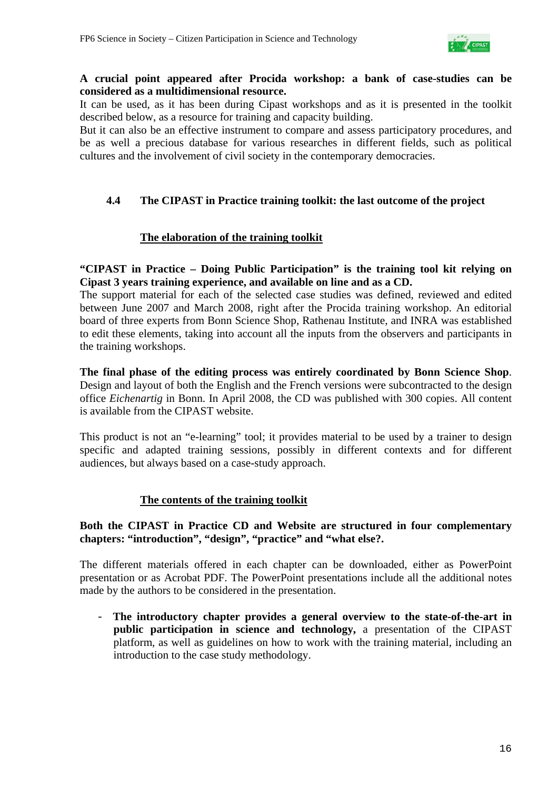

### **A crucial point appeared after Procida workshop: a bank of case-studies can be considered as a multidimensional resource.**

It can be used, as it has been during Cipast workshops and as it is presented in the toolkit described below, as a resource for training and capacity building.

But it can also be an effective instrument to compare and assess participatory procedures, and be as well a precious database for various researches in different fields, such as political cultures and the involvement of civil society in the contemporary democracies.

## **4.4 The CIPAST in Practice training toolkit: the last outcome of the project**

### **The elaboration of the training toolkit**

**"CIPAST in Practice – Doing Public Participation" is the training tool kit relying on Cipast 3 years training experience, and available on line and as a CD.** 

The support material for each of the selected case studies was defined, reviewed and edited between June 2007 and March 2008, right after the Procida training workshop. An editorial board of three experts from Bonn Science Shop, Rathenau Institute, and INRA was established to edit these elements, taking into account all the inputs from the observers and participants in the training workshops.

**The final phase of the editing process was entirely coordinated by Bonn Science Shop**. Design and layout of both the English and the French versions were subcontracted to the design office *Eichenartig* in Bonn. In April 2008, the CD was published with 300 copies. All content is available from the CIPAST website.

This product is not an "e-learning" tool; it provides material to be used by a trainer to design specific and adapted training sessions, possibly in different contexts and for different audiences, but always based on a case-study approach.

### **The contents of the training toolkit**

### **Both the CIPAST in Practice CD and Website are structured in four complementary chapters: "introduction", "design", "practice" and "what else?.**

The different materials offered in each chapter can be downloaded, either as PowerPoint presentation or as Acrobat PDF. The PowerPoint presentations include all the additional notes made by the authors to be considered in the presentation.

- **The introductory chapter provides a general overview to the state-of-the-art in public participation in science and technology,** a presentation of the CIPAST platform, as well as guidelines on how to work with the training material, including an introduction to the case study methodology.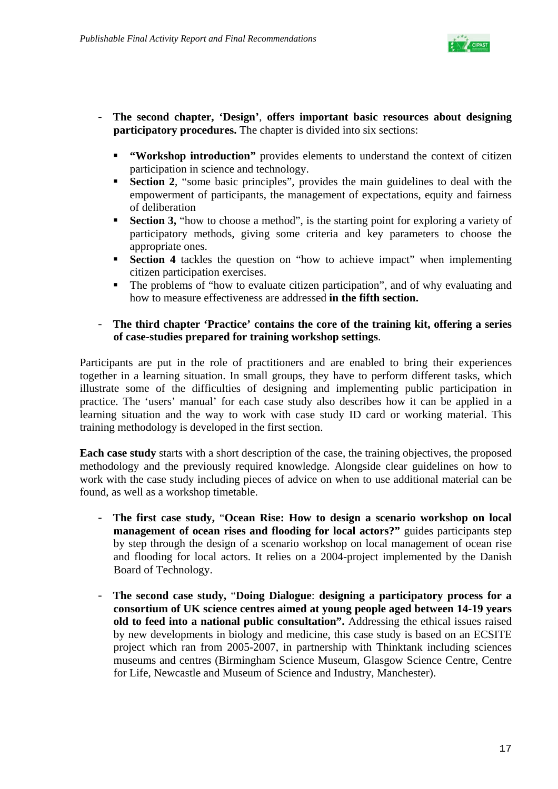

- **The second chapter, 'Design'**, **offers important basic resources about designing participatory procedures.** The chapter is divided into six sections:
	- **"Workshop introduction"** provides elements to understand the context of citizen participation in science and technology.
	- **Section 2**, "some basic principles", provides the main guidelines to deal with the empowerment of participants, the management of expectations, equity and fairness of deliberation
	- **Section 3, "**how to choose a method", is the starting point for exploring a variety of participatory methods, giving some criteria and key parameters to choose the appropriate ones.
	- **Section 4** tackles the question on "how to achieve impact" when implementing citizen participation exercises.
	- The problems of "how to evaluate citizen participation", and of why evaluating and how to measure effectiveness are addressed **in the fifth section.**

### - **The third chapter 'Practice' contains the core of the training kit, offering a series of case-studies prepared for training workshop settings**.

Participants are put in the role of practitioners and are enabled to bring their experiences together in a learning situation. In small groups, they have to perform different tasks, which illustrate some of the difficulties of designing and implementing public participation in practice. The 'users' manual' for each case study also describes how it can be applied in a learning situation and the way to work with case study ID card or working material. This training methodology is developed in the first section.

**Each case study** starts with a short description of the case, the training objectives, the proposed methodology and the previously required knowledge. Alongside clear guidelines on how to work with the case study including pieces of advice on when to use additional material can be found, as well as a workshop timetable.

- **The first case study,** "**Ocean Rise: How to design a scenario workshop on local management of ocean rises and flooding for local actors?"** guides participants step by step through the design of a scenario workshop on local management of ocean rise and flooding for local actors. It relies on a 2004-project implemented by the Danish Board of Technology.
- **The second case study,** "**Doing Dialogue**: **designing a participatory process for a consortium of UK science centres aimed at young people aged between 14-19 years old to feed into a national public consultation".** Addressing the ethical issues raised by new developments in biology and medicine, this case study is based on an ECSITE project which ran from 2005-2007, in partnership with Thinktank including sciences museums and centres (Birmingham Science Museum, Glasgow Science Centre, Centre for Life, Newcastle and Museum of Science and Industry, Manchester).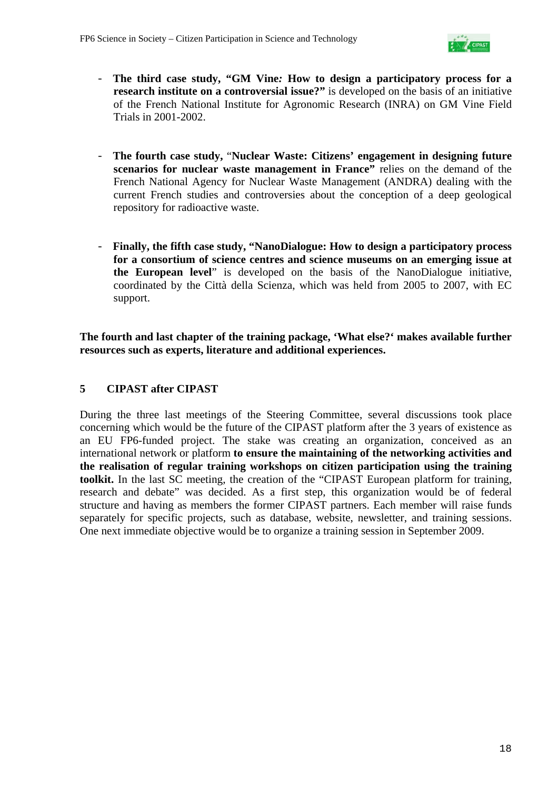

- **The third case study, "GM Vine***:* **How to design a participatory process for a research institute on a controversial issue?"** is developed on the basis of an initiative of the French National Institute for Agronomic Research (INRA) on GM Vine Field Trials in 2001-2002.
- **The fourth case study,** "**Nuclear Waste: Citizens' engagement in designing future scenarios for nuclear waste management in France"** relies on the demand of the French National Agency for Nuclear Waste Management (ANDRA) dealing with the current French studies and controversies about the conception of a deep geological repository for radioactive waste.
- **Finally, the fifth case study, "NanoDialogue: How to design a participatory process for a consortium of science centres and science museums on an emerging issue at the European level**" is developed on the basis of the NanoDialogue initiative, coordinated by the Città della Scienza, which was held from 2005 to 2007, with EC support.

**The fourth and last chapter of the training package, 'What else?' makes available further resources such as experts, literature and additional experiences.**

# **5 CIPAST after CIPAST**

During the three last meetings of the Steering Committee, several discussions took place concerning which would be the future of the CIPAST platform after the 3 years of existence as an EU FP6-funded project. The stake was creating an organization, conceived as an international network or platform **to ensure the maintaining of the networking activities and the realisation of regular training workshops on citizen participation using the training toolkit.** In the last SC meeting, the creation of the "CIPAST European platform for training, research and debate" was decided. As a first step, this organization would be of federal structure and having as members the former CIPAST partners. Each member will raise funds separately for specific projects, such as database, website, newsletter, and training sessions. One next immediate objective would be to organize a training session in September 2009.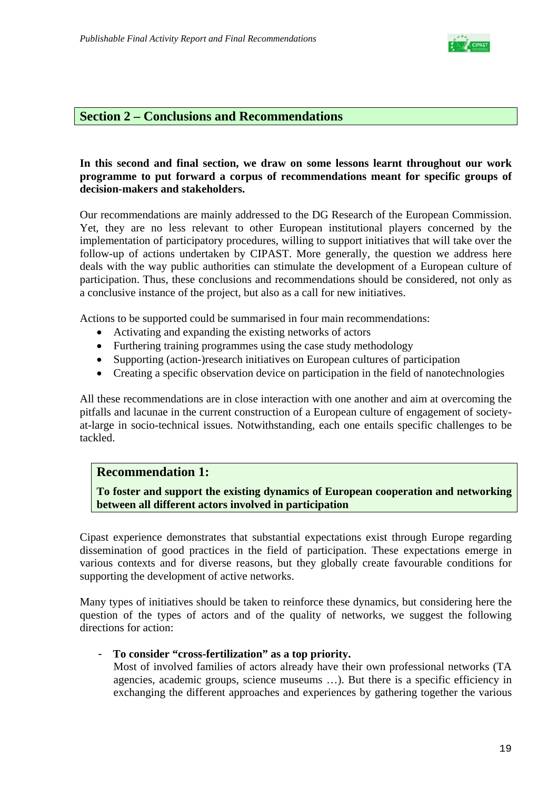

### **Section 2 – Conclusions and Recommendations**

### **In this second and final section, we draw on some lessons learnt throughout our work programme to put forward a corpus of recommendations meant for specific groups of decision-makers and stakeholders.**

Our recommendations are mainly addressed to the DG Research of the European Commission. Yet, they are no less relevant to other European institutional players concerned by the implementation of participatory procedures, willing to support initiatives that will take over the follow-up of actions undertaken by CIPAST. More generally, the question we address here deals with the way public authorities can stimulate the development of a European culture of participation. Thus, these conclusions and recommendations should be considered, not only as a conclusive instance of the project, but also as a call for new initiatives.

Actions to be supported could be summarised in four main recommendations:

- Activating and expanding the existing networks of actors
- Furthering training programmes using the case study methodology
- Supporting (action-)research initiatives on European cultures of participation
- Creating a specific observation device on participation in the field of nanotechnologies

All these recommendations are in close interaction with one another and aim at overcoming the pitfalls and lacunae in the current construction of a European culture of engagement of societyat-large in socio-technical issues. Notwithstanding, each one entails specific challenges to be tackled.

### **Recommendation 1:**

**To foster and support the existing dynamics of European cooperation and networking between all different actors involved in participation** 

Cipast experience demonstrates that substantial expectations exist through Europe regarding dissemination of good practices in the field of participation. These expectations emerge in various contexts and for diverse reasons, but they globally create favourable conditions for supporting the development of active networks.

Many types of initiatives should be taken to reinforce these dynamics, but considering here the question of the types of actors and of the quality of networks, we suggest the following directions for action:

#### - **To consider "cross-fertilization" as a top priority.**

Most of involved families of actors already have their own professional networks (TA agencies, academic groups, science museums …). But there is a specific efficiency in exchanging the different approaches and experiences by gathering together the various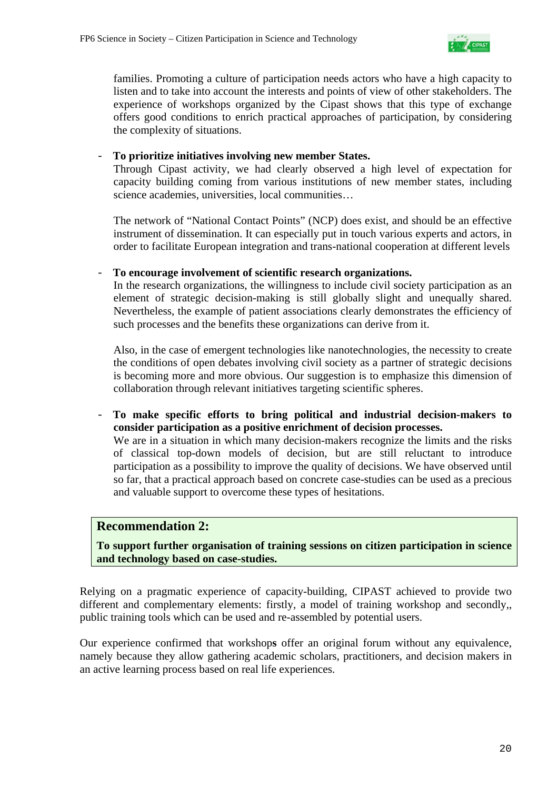

families. Promoting a culture of participation needs actors who have a high capacity to listen and to take into account the interests and points of view of other stakeholders. The experience of workshops organized by the Cipast shows that this type of exchange offers good conditions to enrich practical approaches of participation, by considering the complexity of situations.

### - **To prioritize initiatives involving new member States.**

Through Cipast activity, we had clearly observed a high level of expectation for capacity building coming from various institutions of new member states, including science academies, universities, local communities…

The network of "National Contact Points" (NCP) does exist, and should be an effective instrument of dissemination. It can especially put in touch various experts and actors, in order to facilitate European integration and trans-national cooperation at different levels

### - **To encourage involvement of scientific research organizations.**

In the research organizations, the willingness to include civil society participation as an element of strategic decision-making is still globally slight and unequally shared. Nevertheless, the example of patient associations clearly demonstrates the efficiency of such processes and the benefits these organizations can derive from it.

Also, in the case of emergent technologies like nanotechnologies, the necessity to create the conditions of open debates involving civil society as a partner of strategic decisions is becoming more and more obvious. Our suggestion is to emphasize this dimension of collaboration through relevant initiatives targeting scientific spheres.

- **To make specific efforts to bring political and industrial decision-makers to consider participation as a positive enrichment of decision processes.** We are in a situation in which many decision-makers recognize the limits and the risks of classical top-down models of decision, but are still reluctant to introduce participation as a possibility to improve the quality of decisions. We have observed until so far, that a practical approach based on concrete case-studies can be used as a precious and valuable support to overcome these types of hesitations.

### **Recommendation 2:**

### **To support further organisation of training sessions on citizen participation in science and technology based on case-studies.**

Relying on a pragmatic experience of capacity-building, CIPAST achieved to provide two different and complementary elements: firstly, a model of training workshop and secondly,, public training tools which can be used and re-assembled by potential users.

Our experience confirmed that workshop**s** offer an original forum without any equivalence, namely because they allow gathering academic scholars, practitioners, and decision makers in an active learning process based on real life experiences.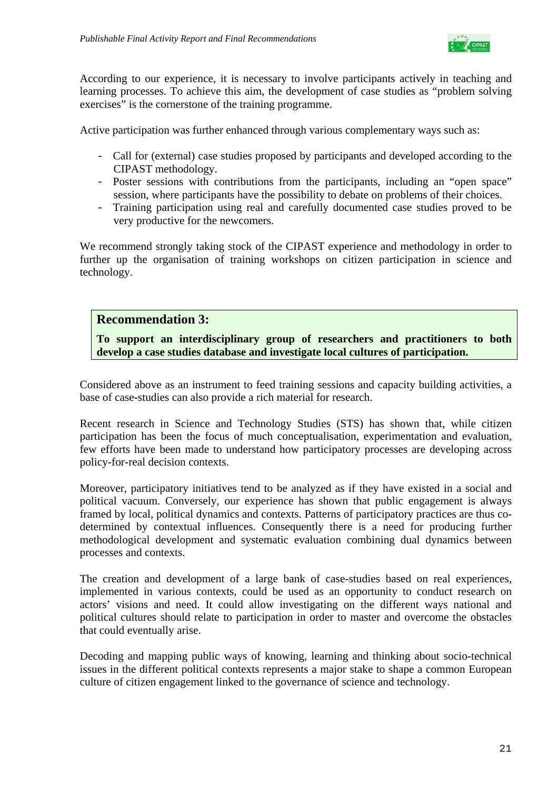

According to our experience, it is necessary to involve participants actively in teaching and learning processes. To achieve this aim, the development of case studies as "problem solving exercises" is the cornerstone of the training programme.

Active participation was further enhanced through various complementary ways such as:

- Call for (external) case studies proposed by participants and developed according to the CIPAST methodology.
- Poster sessions with contributions from the participants, including an "open space" session, where participants have the possibility to debate on problems of their choices.
- Training participation using real and carefully documented case studies proved to be very productive for the newcomers.

We recommend strongly taking stock of the CIPAST experience and methodology in order to further up the organisation of training workshops on citizen participation in science and technology.

# **Recommendation 3:**

**To support an interdisciplinary group of researchers and practitioners to both develop a case studies database and investigate local cultures of participation.** 

Considered above as an instrument to feed training sessions and capacity building activities, a base of case-studies can also provide a rich material for research.

Recent research in Science and Technology Studies (STS) has shown that, while citizen participation has been the focus of much conceptualisation, experimentation and evaluation, few efforts have been made to understand how participatory processes are developing across policy-for-real decision contexts.

Moreover, participatory initiatives tend to be analyzed as if they have existed in a social and political vacuum. Conversely, our experience has shown that public engagement is always framed by local, political dynamics and contexts. Patterns of participatory practices are thus codetermined by contextual influences. Consequently there is a need for producing further methodological development and systematic evaluation combining dual dynamics between processes and contexts.

The creation and development of a large bank of case-studies based on real experiences, implemented in various contexts, could be used as an opportunity to conduct research on actors' visions and need. It could allow investigating on the different ways national and political cultures should relate to participation in order to master and overcome the obstacles that could eventually arise.

Decoding and mapping public ways of knowing, learning and thinking about socio-technical issues in the different political contexts represents a major stake to shape a common European culture of citizen engagement linked to the governance of science and technology.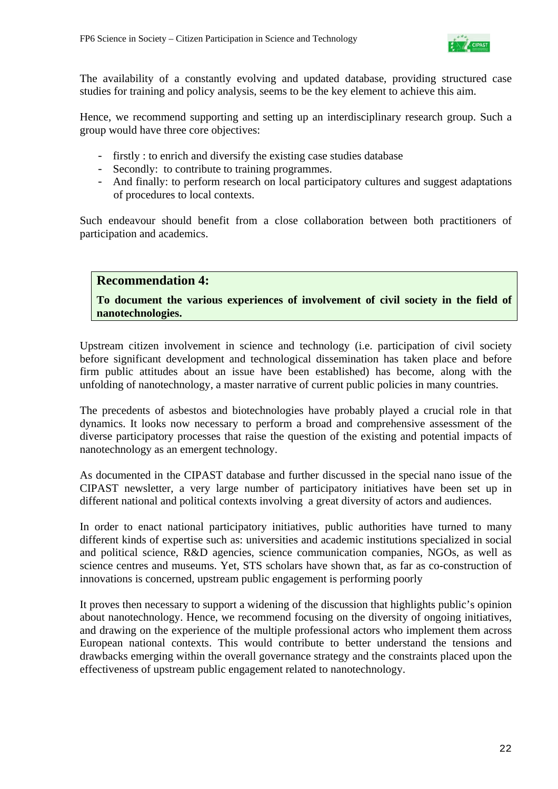

The availability of a constantly evolving and updated database, providing structured case studies for training and policy analysis, seems to be the key element to achieve this aim.

Hence, we recommend supporting and setting up an interdisciplinary research group. Such a group would have three core objectives:

- firstly : to enrich and diversify the existing case studies database
- Secondly: to contribute to training programmes.
- And finally: to perform research on local participatory cultures and suggest adaptations of procedures to local contexts.

Such endeavour should benefit from a close collaboration between both practitioners of participation and academics.

## **Recommendation 4:**

## **To document the various experiences of involvement of civil society in the field of nanotechnologies.**

Upstream citizen involvement in science and technology (i.e. participation of civil society before significant development and technological dissemination has taken place and before firm public attitudes about an issue have been established) has become, along with the unfolding of nanotechnology, a master narrative of current public policies in many countries.

The precedents of asbestos and biotechnologies have probably played a crucial role in that dynamics. It looks now necessary to perform a broad and comprehensive assessment of the diverse participatory processes that raise the question of the existing and potential impacts of nanotechnology as an emergent technology.

As documented in the CIPAST database and further discussed in the special nano issue of the CIPAST newsletter, a very large number of participatory initiatives have been set up in different national and political contexts involving a great diversity of actors and audiences.

In order to enact national participatory initiatives, public authorities have turned to many different kinds of expertise such as: universities and academic institutions specialized in social and political science, R&D agencies, science communication companies, NGOs, as well as science centres and museums. Yet, STS scholars have shown that, as far as co-construction of innovations is concerned, upstream public engagement is performing poorly

It proves then necessary to support a widening of the discussion that highlights public's opinion about nanotechnology. Hence, we recommend focusing on the diversity of ongoing initiatives, and drawing on the experience of the multiple professional actors who implement them across European national contexts. This would contribute to better understand the tensions and drawbacks emerging within the overall governance strategy and the constraints placed upon the effectiveness of upstream public engagement related to nanotechnology.